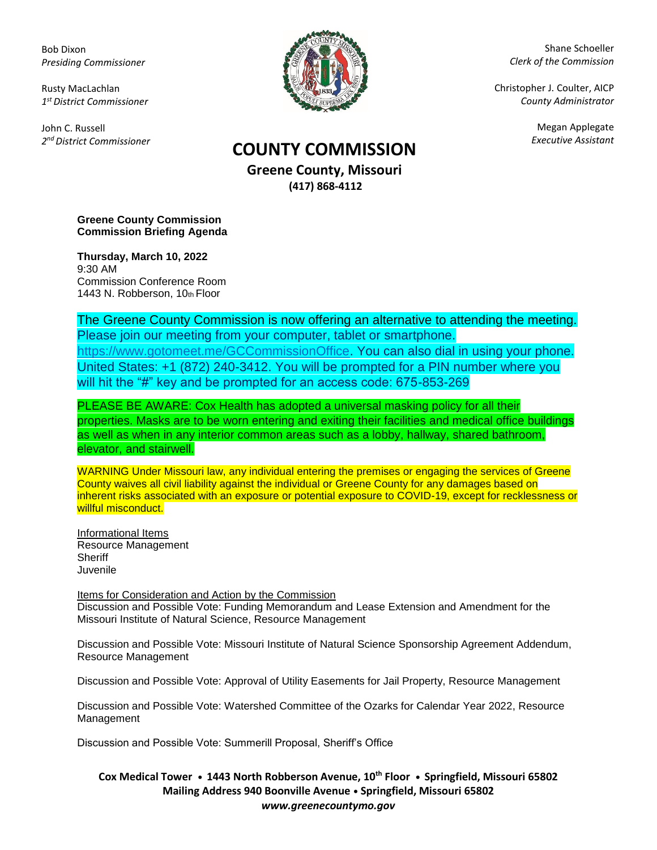Bob Dixon *Presiding Commissioner*

Rusty MacLachlan *1 st District Commissioner*

John C. Russell *2 nd District Commissioner*



Shane Schoeller *Clerk of the Commission*

Christopher J. Coulter, AICP *County Administrator*

Megan Applegate

## *Executive Assistant* **COUNTY COMMISSION**

**Greene County, Missouri (417) 868-4112**

**Greene County Commission Commission Briefing Agenda** 

**Thursday, March 10, 2022** 9:30 AM Commission Conference Room 1443 N. Robberson, 10th Floor

The Greene County Commission is now offering an alternative to attending the meeting. Please join our meeting from your computer, tablet or smartphone. [https://www.gotomeet.me/GCCommissionOffice.](https://www.gotomeet.me/GCCommissionOffice) You can also dial in using your phone. United States: +1 (872) 240-3412. You will be prompted for a PIN number where you will hit the "#" key and be prompted for an access code: 675-853-269

PLEASE BE AWARE: Cox Health has adopted a universal masking policy for all their properties. Masks are to be worn entering and exiting their facilities and medical office buildings as well as when in any interior common areas such as a lobby, hallway, shared bathroom, elevator, and stairwell.

WARNING Under Missouri law, any individual entering the premises or engaging the services of Greene County waives all civil liability against the individual or Greene County for any damages based on inherent risks associated with an exposure or potential exposure to COVID-19, except for recklessness or willful misconduct.

Informational Items Resource Management **Sheriff** Juvenile

Items for Consideration and Action by the Commission Discussion and Possible Vote: Funding Memorandum and Lease Extension and Amendment for the Missouri Institute of Natural Science, Resource Management

Discussion and Possible Vote: Missouri Institute of Natural Science Sponsorship Agreement Addendum, Resource Management

Discussion and Possible Vote: Approval of Utility Easements for Jail Property, Resource Management

Discussion and Possible Vote: Watershed Committee of the Ozarks for Calendar Year 2022, Resource Management

Discussion and Possible Vote: Summerill Proposal, Sheriff's Office

**Cox Medical Tower • 1443 North Robberson Avenue, 10th Floor • Springfield, Missouri 65802 Mailing Address 940 Boonville Avenue • Springfield, Missouri 65802** *www.greenecountymo.gov*